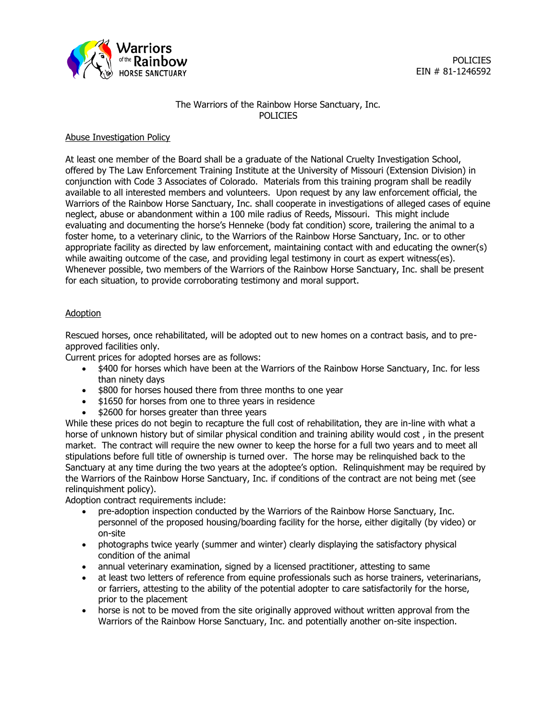

# The Warriors of the Rainbow Horse Sanctuary, Inc. **POLICIES**

## Abuse Investigation Policy

At least one member of the Board shall be a graduate of the National Cruelty Investigation School, offered by The Law Enforcement Training Institute at the University of Missouri (Extension Division) in conjunction with Code 3 Associates of Colorado. Materials from this training program shall be readily available to all interested members and volunteers. Upon request by any law enforcement official, the Warriors of the Rainbow Horse Sanctuary, Inc. shall cooperate in investigations of alleged cases of equine neglect, abuse or abandonment within a 100 mile radius of Reeds, Missouri. This might include evaluating and documenting the horse's Henneke (body fat condition) score, trailering the animal to a foster home, to a veterinary clinic, to the Warriors of the Rainbow Horse Sanctuary, Inc. or to other appropriate facility as directed by law enforcement, maintaining contact with and educating the owner(s) while awaiting outcome of the case, and providing legal testimony in court as expert witness(es). Whenever possible, two members of the Warriors of the Rainbow Horse Sanctuary, Inc. shall be present for each situation, to provide corroborating testimony and moral support.

### Adoption

Rescued horses, once rehabilitated, will be adopted out to new homes on a contract basis, and to preapproved facilities only.

Current prices for adopted horses are as follows:

- \$400 for horses which have been at the Warriors of the Rainbow Horse Sanctuary, Inc. for less than ninety days
- \$800 for horses housed there from three months to one year
- \$1650 for horses from one to three years in residence
- \$2600 for horses greater than three years

While these prices do not begin to recapture the full cost of rehabilitation, they are in-line with what a horse of unknown history but of similar physical condition and training ability would cost , in the present market. The contract will require the new owner to keep the horse for a full two years and to meet all stipulations before full title of ownership is turned over. The horse may be relinquished back to the Sanctuary at any time during the two years at the adoptee's option. Relinquishment may be required by the Warriors of the Rainbow Horse Sanctuary, Inc. if conditions of the contract are not being met (see relinquishment policy).

Adoption contract requirements include:

- pre-adoption inspection conducted by the Warriors of the Rainbow Horse Sanctuary, Inc. personnel of the proposed housing/boarding facility for the horse, either digitally (by video) or on-site
- photographs twice yearly (summer and winter) clearly displaying the satisfactory physical condition of the animal
- annual veterinary examination, signed by a licensed practitioner, attesting to same
- at least two letters of reference from equine professionals such as horse trainers, veterinarians, or farriers, attesting to the ability of the potential adopter to care satisfactorily for the horse, prior to the placement
- horse is not to be moved from the site originally approved without written approval from the Warriors of the Rainbow Horse Sanctuary, Inc. and potentially another on-site inspection.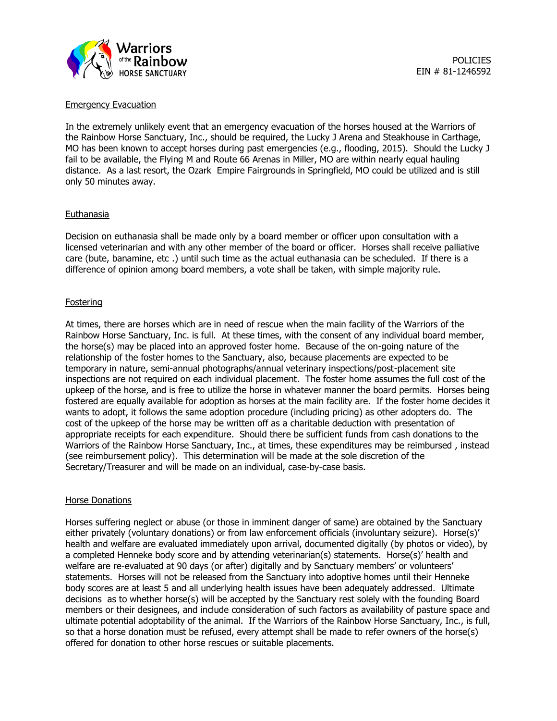

Emergency Evacuation

In the extremely unlikely event that an emergency evacuation of the horses housed at the Warriors of the Rainbow Horse Sanctuary, Inc., should be required, the Lucky J Arena and Steakhouse in Carthage, MO has been known to accept horses during past emergencies (e.g., flooding, 2015). Should the Lucky J fail to be available, the Flying M and Route 66 Arenas in Miller, MO are within nearly equal hauling distance. As a last resort, the Ozark Empire Fairgrounds in Springfield, MO could be utilized and is still only 50 minutes away.

#### Euthanasia

Decision on euthanasia shall be made only by a board member or officer upon consultation with a licensed veterinarian and with any other member of the board or officer. Horses shall receive palliative care (bute, banamine, etc .) until such time as the actual euthanasia can be scheduled. If there is a difference of opinion among board members, a vote shall be taken, with simple majority rule.

### **Fostering**

At times, there are horses which are in need of rescue when the main facility of the Warriors of the Rainbow Horse Sanctuary, Inc. is full. At these times, with the consent of any individual board member, the horse(s) may be placed into an approved foster home. Because of the on-going nature of the relationship of the foster homes to the Sanctuary, also, because placements are expected to be temporary in nature, semi-annual photographs/annual veterinary inspections/post-placement site inspections are not required on each individual placement. The foster home assumes the full cost of the upkeep of the horse, and is free to utilize the horse in whatever manner the board permits. Horses being fostered are equally available for adoption as horses at the main facility are. If the foster home decides it wants to adopt, it follows the same adoption procedure (including pricing) as other adopters do. The cost of the upkeep of the horse may be written off as a charitable deduction with presentation of appropriate receipts for each expenditure. Should there be sufficient funds from cash donations to the Warriors of the Rainbow Horse Sanctuary, Inc., at times, these expenditures may be reimbursed , instead (see reimbursement policy). This determination will be made at the sole discretion of the Secretary/Treasurer and will be made on an individual, case-by-case basis.

#### Horse Donations

Horses suffering neglect or abuse (or those in imminent danger of same) are obtained by the Sanctuary either privately (voluntary donations) or from law enforcement officials (involuntary seizure). Horse(s)' health and welfare are evaluated immediately upon arrival, documented digitally (by photos or video), by a completed Henneke body score and by attending veterinarian(s) statements. Horse(s)' health and welfare are re-evaluated at 90 days (or after) digitally and by Sanctuary members' or volunteers' statements. Horses will not be released from the Sanctuary into adoptive homes until their Henneke body scores are at least 5 and all underlying health issues have been adequately addressed. Ultimate decisions as to whether horse(s) will be accepted by the Sanctuary rest solely with the founding Board members or their designees, and include consideration of such factors as availability of pasture space and ultimate potential adoptability of the animal. If the Warriors of the Rainbow Horse Sanctuary, Inc., is full, so that a horse donation must be refused, every attempt shall be made to refer owners of the horse(s) offered for donation to other horse rescues or suitable placements.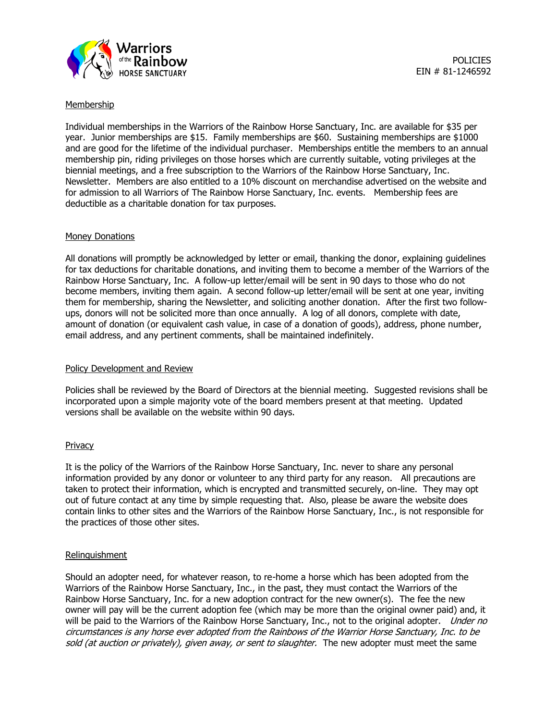

### Membership

Individual memberships in the Warriors of the Rainbow Horse Sanctuary, Inc. are available for \$35 per year. Junior memberships are \$15. Family memberships are \$60. Sustaining memberships are \$1000 and are good for the lifetime of the individual purchaser. Memberships entitle the members to an annual membership pin, riding privileges on those horses which are currently suitable, voting privileges at the biennial meetings, and a free subscription to the Warriors of the Rainbow Horse Sanctuary, Inc. Newsletter. Members are also entitled to a 10% discount on merchandise advertised on the website and for admission to all Warriors of The Rainbow Horse Sanctuary, Inc. events. Membership fees are deductible as a charitable donation for tax purposes.

#### Money Donations

All donations will promptly be acknowledged by letter or email, thanking the donor, explaining guidelines for tax deductions for charitable donations, and inviting them to become a member of the Warriors of the Rainbow Horse Sanctuary, Inc. A follow-up letter/email will be sent in 90 days to those who do not become members, inviting them again. A second follow-up letter/email will be sent at one year, inviting them for membership, sharing the Newsletter, and soliciting another donation. After the first two followups, donors will not be solicited more than once annually. A log of all donors, complete with date, amount of donation (or equivalent cash value, in case of a donation of goods), address, phone number, email address, and any pertinent comments, shall be maintained indefinitely.

# Policy Development and Review

Policies shall be reviewed by the Board of Directors at the biennial meeting. Suggested revisions shall be incorporated upon a simple majority vote of the board members present at that meeting. Updated versions shall be available on the website within 90 days.

# Privacy

It is the policy of the Warriors of the Rainbow Horse Sanctuary, Inc. never to share any personal information provided by any donor or volunteer to any third party for any reason. All precautions are taken to protect their information, which is encrypted and transmitted securely, on-line. They may opt out of future contact at any time by simple requesting that. Also, please be aware the website does contain links to other sites and the Warriors of the Rainbow Horse Sanctuary, Inc., is not responsible for the practices of those other sites.

#### Relinquishment

Should an adopter need, for whatever reason, to re-home a horse which has been adopted from the Warriors of the Rainbow Horse Sanctuary, Inc., in the past, they must contact the Warriors of the Rainbow Horse Sanctuary, Inc. for a new adoption contract for the new owner(s). The fee the new owner will pay will be the current adoption fee (which may be more than the original owner paid) and, it will be paid to the Warriors of the Rainbow Horse Sanctuary, Inc., not to the original adopter. *Under no* circumstances is any horse ever adopted from the Rainbows of the Warrior Horse Sanctuary, Inc. to be sold (at auction or privately), given away, or sent to slaughter. The new adopter must meet the same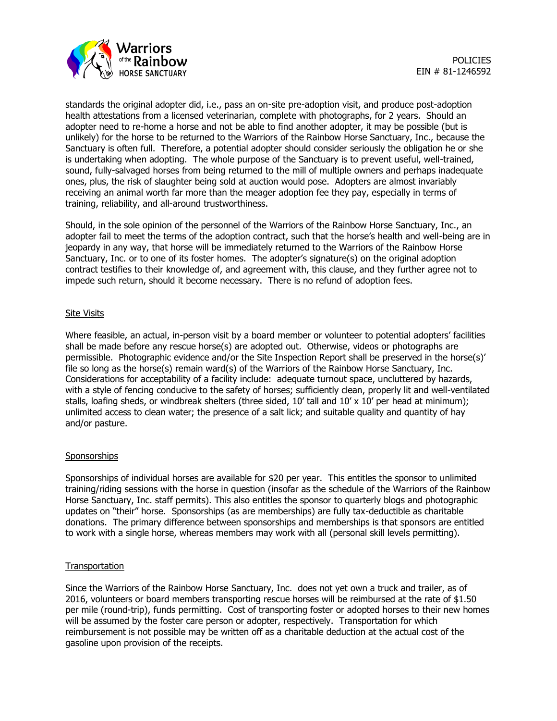

standards the original adopter did, i.e., pass an on-site pre-adoption visit, and produce post-adoption health attestations from a licensed veterinarian, complete with photographs, for 2 years. Should an adopter need to re-home a horse and not be able to find another adopter, it may be possible (but is unlikely) for the horse to be returned to the Warriors of the Rainbow Horse Sanctuary, Inc., because the Sanctuary is often full. Therefore, a potential adopter should consider seriously the obligation he or she is undertaking when adopting. The whole purpose of the Sanctuary is to prevent useful, well-trained, sound, fully-salvaged horses from being returned to the mill of multiple owners and perhaps inadequate ones, plus, the risk of slaughter being sold at auction would pose. Adopters are almost invariably receiving an animal worth far more than the meager adoption fee they pay, especially in terms of training, reliability, and all-around trustworthiness.

Should, in the sole opinion of the personnel of the Warriors of the Rainbow Horse Sanctuary, Inc., an adopter fail to meet the terms of the adoption contract, such that the horse's health and well-being are in jeopardy in any way, that horse will be immediately returned to the Warriors of the Rainbow Horse Sanctuary, Inc. or to one of its foster homes. The adopter's signature(s) on the original adoption contract testifies to their knowledge of, and agreement with, this clause, and they further agree not to impede such return, should it become necessary. There is no refund of adoption fees.

### Site Visits

Where feasible, an actual, in-person visit by a board member or volunteer to potential adopters' facilities shall be made before any rescue horse(s) are adopted out. Otherwise, videos or photographs are permissible. Photographic evidence and/or the Site Inspection Report shall be preserved in the horse(s)' file so long as the horse(s) remain ward(s) of the Warriors of the Rainbow Horse Sanctuary, Inc. Considerations for acceptability of a facility include: adequate turnout space, uncluttered by hazards, with a style of fencing conducive to the safety of horses; sufficiently clean, properly lit and well-ventilated stalls, loafing sheds, or windbreak shelters (three sided, 10' tall and 10' x 10' per head at minimum): unlimited access to clean water; the presence of a salt lick; and suitable quality and quantity of hay and/or pasture.

# **Sponsorships**

Sponsorships of individual horses are available for \$20 per year. This entitles the sponsor to unlimited training/riding sessions with the horse in question (insofar as the schedule of the Warriors of the Rainbow Horse Sanctuary, Inc. staff permits). This also entitles the sponsor to quarterly blogs and photographic updates on "their" horse. Sponsorships (as are memberships) are fully tax-deductible as charitable donations. The primary difference between sponsorships and memberships is that sponsors are entitled to work with a single horse, whereas members may work with all (personal skill levels permitting).

# **Transportation**

Since the Warriors of the Rainbow Horse Sanctuary, Inc. does not yet own a truck and trailer, as of 2016, volunteers or board members transporting rescue horses will be reimbursed at the rate of \$1.50 per mile (round-trip), funds permitting. Cost of transporting foster or adopted horses to their new homes will be assumed by the foster care person or adopter, respectively. Transportation for which reimbursement is not possible may be written off as a charitable deduction at the actual cost of the gasoline upon provision of the receipts.